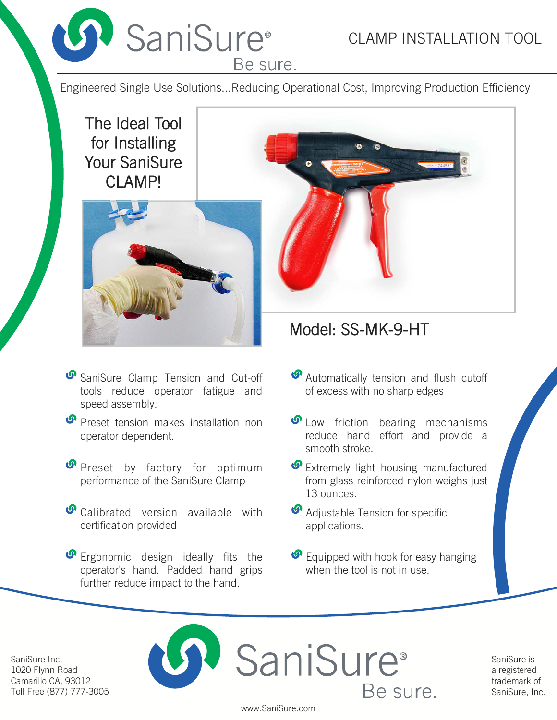

## CLAMP INSTALLATION TOOL

Be sure.

Engineered Single Use Solutions...Reducing Operational Cost, Improving Production Efficiency

The Ideal Tool for Installing Your SaniSure CLAMP!



- SaniSure Clamp Tension and Cut-off tools reduce operator fatigue and speed assembly.
- **P** Preset tension makes installation non operator dependent.
- **P** Preset by factory for optimum performance of the SaniSure Clamp
- *O* Calibrated version available with certification provided

**P** Ergonomic design ideally fits the operator's hand. Padded hand grips further reduce impact to the hand.



# Model: SS-MK-9-HT

- *S* Automatically tension and flush cutoff of excess with no sharp edges
- *O* Low friction bearing mechanisms reduce hand effort and provide a smooth stroke.
- *S* Extremely light housing manufactured from glass reinforced nylon weighs just 13 ounces.
- **M** Adjustable Tension for specific applications.
- *O* Equipped with hook for easy hanging when the tool is not in use.

SaniSure Inc. 1020 Flynn Road Camarillo CA, 93012 Toll Free (877) 777-3005



SaniSure is a registered trademark of SaniSure, Inc.

www.SaniSure.com